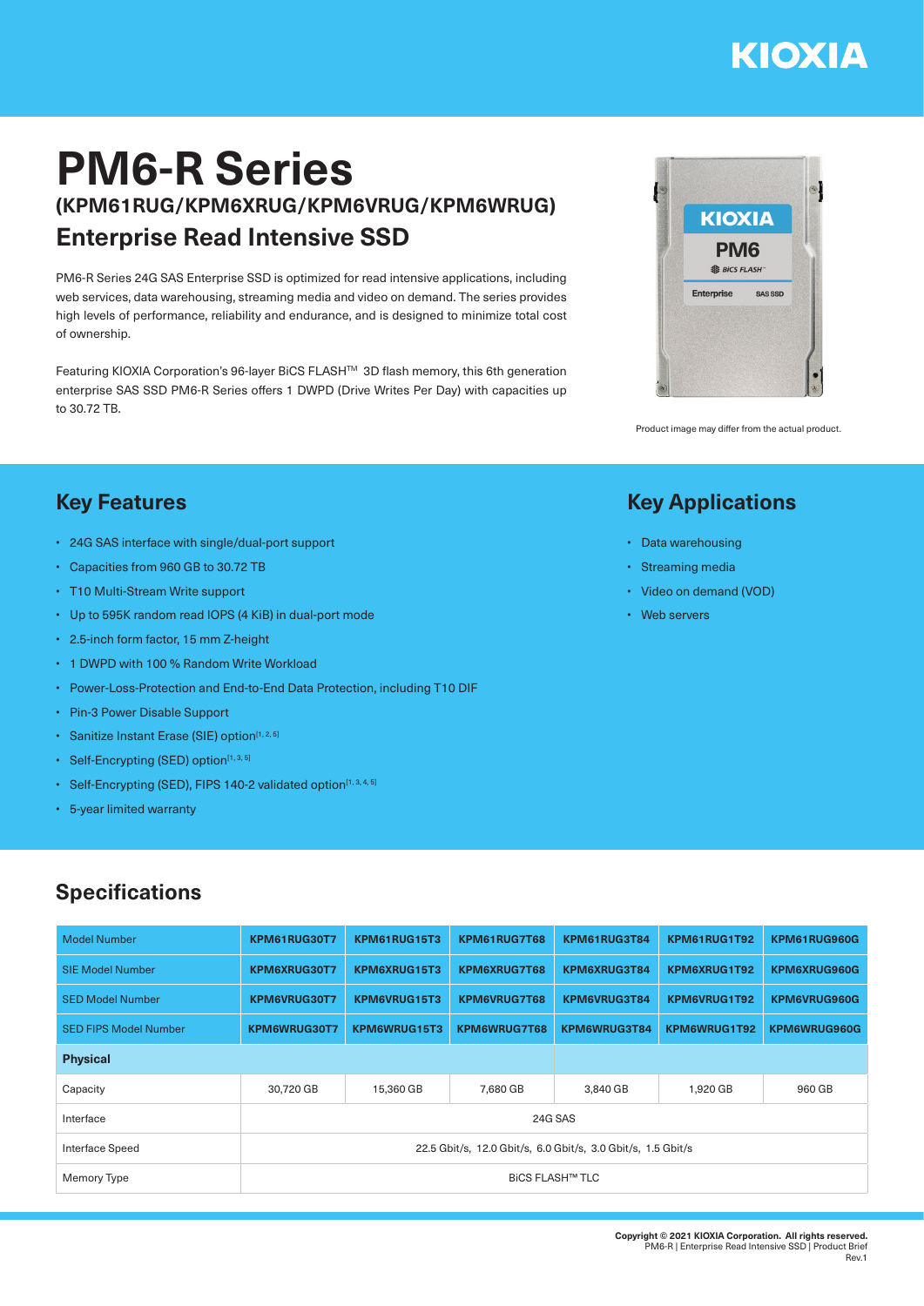# **KIOXIA**

## **PM6-R Series (KPM61RUG/KPM6XRUG/KPM6VRUG/KPM6WRUG) Enterprise Read Intensive SSD**

PM6-R Series 24G SAS Enterprise SSD is optimized for read intensive applications, including web services, data warehousing, streaming media and video on demand. The series provides high levels of performance, reliability and endurance, and is designed to minimize total cost of ownership.

Featuring KIOXIA Corporation's 96-layer BiCS FLASH™ 3D flash memory, this 6th generation enterprise SAS SSD PM6-R Series offers 1 DWPD (Drive Writes Per Day) with capacities up to 30.72 TB.



Product image may differ from the actual product.

#### **Key Applications**

- Data warehousing
- Streaming media
- Video on demand (VOD)
- Web servers

### **Key Features**

- 24G SAS interface with single/dual-port support
- Capacities from 960 GB to 30.72 TB
- T10 Multi-Stream Write support
- Up to 595K random read IOPS (4 KiB) in dual-port mode
- 2.5-inch form factor, 15 mm Z-height
- 1 DWPD with 100 % Random Write Workload
- Power-Loss-Protection and End-to-End Data Protection, including T10 DIF
- Pin-3 Power Disable Support
- Sanitize Instant Erase (SIE) option<sup>[1, 2, 5]</sup>
- Self-Encrypting (SED) option $[1, 3, 5]$
- Self-Encrypting (SED), FIPS 140-2 validated option<sup>[1, 3, 4, 5]</sup>
- 5-year limited warranty

#### **Specifications**

| <b>Model Number</b>          | KPM61RUG30T7                                                 | KPM61RUG15T3 | KPM61RUG7T68 | KPM61RUG3T84 | KPM61RUG1T92 | KPM61RUG960G        |  |  |  |
|------------------------------|--------------------------------------------------------------|--------------|--------------|--------------|--------------|---------------------|--|--|--|
| <b>SIE Model Number</b>      | KPM6XRUG30T7                                                 | KPM6XRUG15T3 | KPM6XRUG7T68 | KPM6XRUG3T84 | KPM6XRUG1T92 | KPM6XRUG960G        |  |  |  |
| <b>SED Model Number</b>      | KPM6VRUG30T7                                                 | KPM6VRUG15T3 | KPM6VRUG7T68 | KPM6VRUG3T84 | KPM6VRUG1T92 | KPM6VRUG960G        |  |  |  |
| <b>SED FIPS Model Number</b> | KPM6WRUG30T7                                                 | KPM6WRUG15T3 | KPM6WRUG7T68 | KPM6WRUG3T84 | KPM6WRUG1T92 | <b>KPM6WRUG960G</b> |  |  |  |
| <b>Physical</b>              |                                                              |              |              |              |              |                     |  |  |  |
| Capacity                     | 30.720 GB                                                    | 15.360 GB    | 7.680 GB     | 3.840 GB     | 1,920 GB     | 960 GB              |  |  |  |
| Interface                    | 24G SAS                                                      |              |              |              |              |                     |  |  |  |
| Interface Speed              | 22.5 Gbit/s, 12.0 Gbit/s, 6.0 Gbit/s, 3.0 Gbit/s, 1.5 Gbit/s |              |              |              |              |                     |  |  |  |
| Memory Type                  | <b>BICS FLASH™ TLC</b>                                       |              |              |              |              |                     |  |  |  |